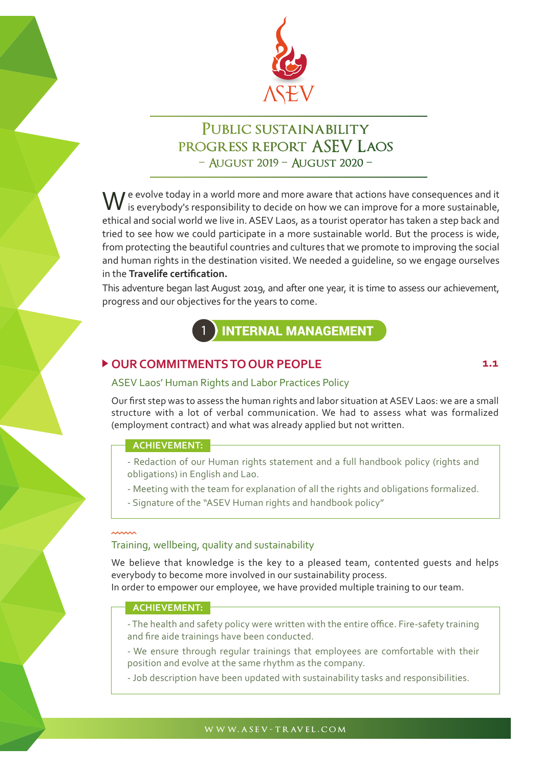

# PUBLIC SUSTAINABILITY PROGRESS REPORT ASEV LAOS - AUGUST 2019 - AUGUST 2020 -

 $\mathbf{I}$  e evolve today in a world more and more aware that actions have consequences and it  $\mathbf W$  e evolve today in a world more and more aware that actions have consequences and it<br>is everybody's responsibility to decide on how we can improve for a more sustainable, ethical and social world we live in. ASEV Laos, as a tourist operator has taken a step back and tried to see how we could participate in a more sustainable world. But the process is wide, from protecting the beautiful countries and cultures that we promote to improving the social and human rights in the destination visited. We needed a guideline, so we engage ourselves in the **Travelife certification.**

This adventure began last August 2019, and after one year, it is time to assess our achievement, progress and our objectives for the years to come.



## ▶ OUR COMMITMENTS TO OUR PEOPLE 1.1

### ASEV Laos' Human Rights and Labor Practices Policy

Our first step was to assess the human rights and labor situation at ASEV Laos: we are a small structure with a lot of verbal communication. We had to assess what was formalized (employment contract) and what was already applied but not written.

#### **ACHIEVEMENT:**

- Redaction of our Human rights statement and a full handbook policy (rights and obligations) in English and Lao.

- Meeting with the team for explanation of all the rights and obligations formalized.
- Signature of the "ASEV Human rights and handbook policy"

### Training, wellbeing, quality and sustainability

We believe that knowledge is the key to a pleased team, contented guests and helps everybody to become more involved in our sustainability process.

In order to empower our employee, we have provided multiple training to our team.

#### **ACHIEVEMENT:**

- The health and safety policy were written with the entire office. Fire-safety training and fire aide trainings have been conducted.

- We ensure through regular trainings that employees are comfortable with their position and evolve at the same rhythm as the company.

- Job description have been updated with sustainability tasks and responsibilities.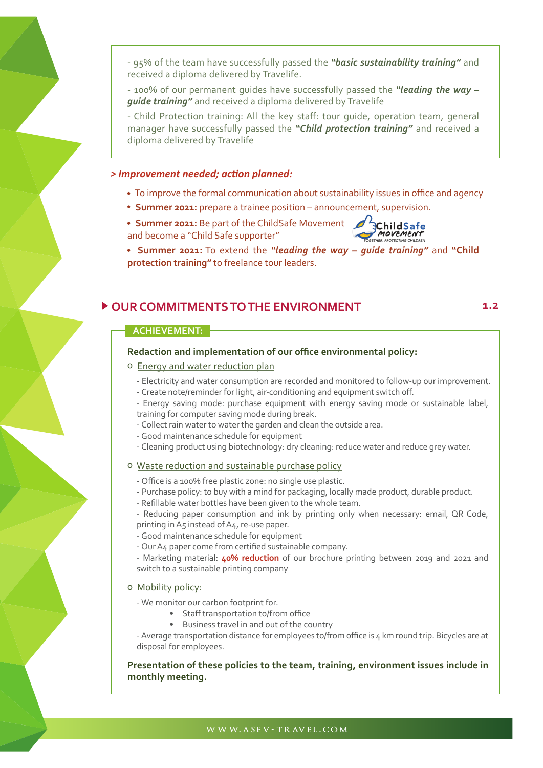- 95% of the team have successfully passed the *"basic sustainability training"* and received a diploma delivered by Travelife.

- 100% of our permanent guides have successfully passed the *"leading the way – guide training"* and received a diploma delivered by Travelife

- Child Protection training: All the key staff: tour guide, operation team, general manager have successfully passed the *"Child protection training"* and received a diploma delivered by Travelife

#### *> Improvement needed; action planned:*

- To improve the formal communication about sustainability issues in office and agency
- **Summer 2021:** prepare a trainee position announcement, supervision.

**Summer 2021:** Be part of the ChildSafe Movement **6 3ChildSafe** and become a "Child Safe supporter"



 **Summer 2021:** To extend the *"leading the way – guide training"* and **"Child protection training"** to freelance tour leaders.

## **OUR COMMITMENTS TO THE ENVIRONMENT 1.2**

#### **ACHIEVEMENT:**

#### **Redaction and implementation of our office environmental policy:**

- o Energy and water reduction plan
	- Electricity and water consumption are recorded and monitored to follow-up our improvement.
	- Create note/reminder for light, air-conditioning and equipment switch off.
	- Energy saving mode: purchase equipment with energy saving mode or sustainable label, training for computer saving mode during break.
	- Collect rain water to water the garden and clean the outside area.
	- Good maintenance schedule for equipment
	- Cleaning product using biotechnology: dry cleaning: reduce water and reduce grey water.

#### o Waste reduction and sustainable purchase policy

- Office is a 100% free plastic zone: no single use plastic.
- Purchase policy: to buy with a mind for packaging, locally made product, durable product.
- Refillable water bottles have been given to the whole team.

- Reducing paper consumption and ink by printing only when necessary: email, QR Code, printing in A5 instead of A4, re-use paper.

- 
- Good maintenance schedule for equipment
- Our A4 paper come from certified sustainable company.

- Marketing material: **40% reduction** of our brochure printing between 2019 and 2021 and switch to a sustainable printing company

#### o Mobility policy:

- We monitor our carbon footprint for.

- Staff transportation to/from office
- Business travel in and out of the country

- Average transportation distance for employees to/from office is 4 km round trip. Bicycles are at disposal for employees.

#### **Presentation of these policies to the team, training, environment issues include in monthly meeting.**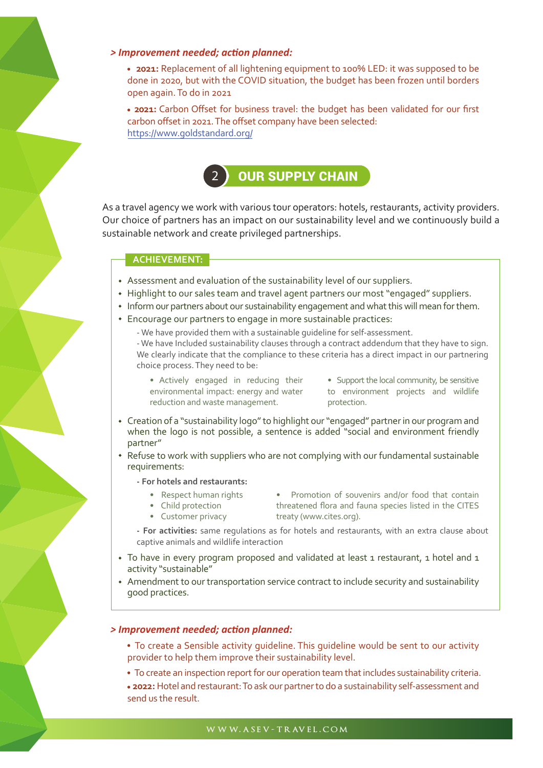#### *> Improvement needed; action planned:*

 **2021:** Replacement of all lightening equipment to 100% LED: it was supposed to be done in 2020, but with the COVID situation, the budget has been frozen until borders open again. To do in 2021

 **2021:** Carbon Offset for business travel: the budget has been validated for our first carbon offset in 2021. The offset company have been selected: https://www.goldstandard.org/



As a travel agency we work with various tour operators: hotels, restaurants, activity providers. Our choice of partners has an impact on our sustainability level and we continuously build a sustainable network and create privileged partnerships.

#### **ACHIEVEMENT:**

- Assessment and evaluation of the sustainability level of our suppliers.
- Highlight to our sales team and travel agent partners our most "engaged" suppliers.
- Inform our partners about our sustainability engagement and what this will mean for them.
- Encourage our partners to engage in more sustainable practices:

- We have provided them with a sustainable guideline for self-assessment. - We have Included sustainability clauses through a contract addendum that they have to sign. We clearly indicate that the compliance to these criteria has a direct impact in our partnering choice process. They need to be:

• Actively engaged in reducing their environmental impact: energy and water reduction and waste management.

• Support the local community, be sensitive to environment projects and wildlife protection.

- Creation of a "sustainability logo" to highlight our "engaged" partner in our program and when the logo is not possible, a sentence is added "social and environment friendly partner"
- Refuse to work with suppliers who are not complying with our fundamental sustainable requirements:

**- For hotels and restaurants:**

- Respect human rights
- Child protection • Customer privacy
- Promotion of souvenirs and/or food that contain threatened flora and fauna species listed in the CITES treaty (www.cites.org).

**- For activities:** same regulations as for hotels and restaurants, with an extra clause about captive animals and wildlife interaction

- To have in every program proposed and validated at least 1 restaurant, 1 hotel and 1 activity "sustainable"
- Amendment to our transportation service contract to include security and sustainability good practices.

#### *> Improvement needed; action planned:*

- To create a Sensible activity guideline. This guideline would be sent to our activity provider to help them improve their sustainability level.
- To create an inspection report for our operation team that includes sustainability criteria.

 **2022:** Hotel and restaurant: To ask our partner to do a sustainability self-assessment and send us the result.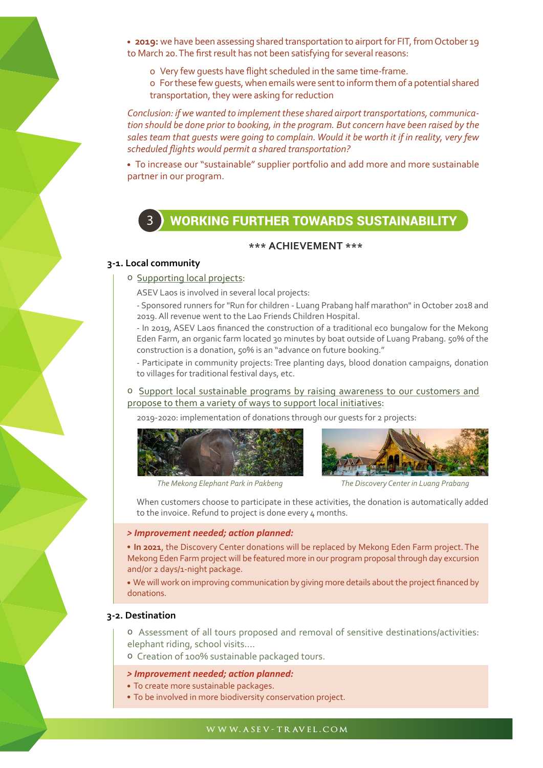**2019:** we have been assessing shared transportation to airport for FIT, from October 19 to March 20. The first result has not been satisfying for several reasons:

- o Very few guests have flight scheduled in the same time-frame.
- o For these few guests, when emails were sent to inform them of a potential shared transportation, they were asking for reduction

*Conclusion: if we wanted to implement these shared airport transportations, communication should be done prior to booking, in the program. But concern have been raised by the sales team that guests were going to complain. Would it be worth it if in reality, very few scheduled flights would permit a shared transportation?*

 To increase our "sustainable" supplier portfolio and add more and more sustainable partner in our program.

## 3 WORKING FURTHER TOWARDS SUSTAINABILITY

#### **\*\*\* ACHIEVEMENT \*\*\***

#### **3-1. Local community**

#### o Supporting local projects:

ASEV Laos is involved in several local projects:

- Sponsored runners for "Run for children - Luang Prabang half marathon" in October 2018 and 2019. All revenue went to the Lao Friends Children Hospital.

- In 2019, ASEV Laos financed the construction of a traditional eco bungalow for the Mekong Eden Farm, an organic farm located 30 minutes by boat outside of Luang Prabang. 50% of the construction is a donation, 50% is an "advance on future booking."

- Participate in community projects: Tree planting days, blood donation campaigns, donation to villages for traditional festival days, etc.

#### o Support local sustainable programs by raising awareness to our customers and propose to them a variety of ways to support local initiatives:

2019-2020: implementation of donations through our guests for 2 projects:





*The Mekong Elephant Park in Pakbeng The Discovery Center in Luang Prabang*

When customers choose to participate in these activities, the donation is automatically added to the invoice. Refund to project is done every 4 months.

#### *> Improvement needed; action planned:*

 **In 2021**, the Discovery Center donations will be replaced by Mekong Eden Farm project. The Mekong Eden Farm project will be featured more in our program proposal through day excursion and/or 2 days/1-night package.

 We will work on improving communication by giving more details about the project financed by donations.

#### **3-2. Destination**

o Assessment of all tours proposed and removal of sensitive destinations/activities: elephant riding, school visits….

o Creation of 100% sustainable packaged tours.

#### *> Improvement needed; action planned:*

- To create more sustainable packages.
- To be involved in more biodiversity conservation project.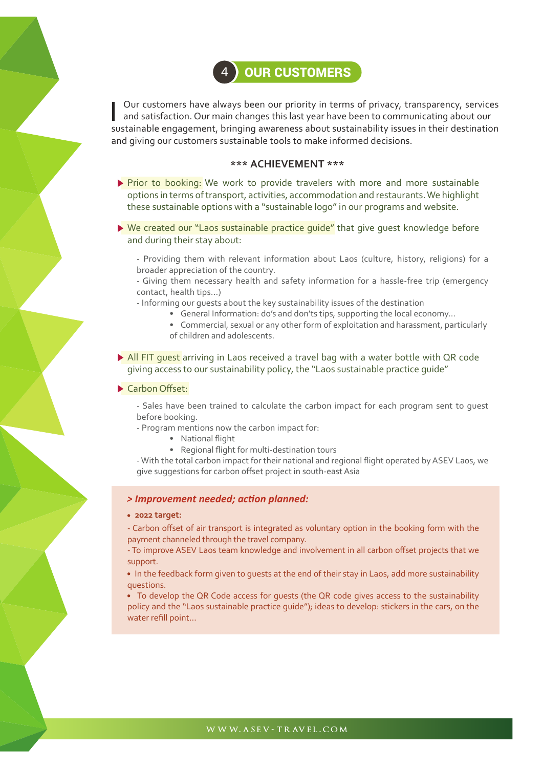

sustainable engagement, bringing awareness about sustainability issues in their destination and giving our customers sustainable tools to make informed decisions. Our customers have always been our priority in terms of privacy, transparency, services and satisfaction. Our main changes this last year have been to communicating about our

#### **\*\*\* ACHIEVEMENT \*\*\***

- Prior to booking: We work to provide travelers with more and more sustainable options in terms of transport, activities, accommodation and restaurants. We highlight these sustainable options with a "sustainable logo" in our programs and website.
- ▶ We created our "Laos sustainable practice quide" that give quest knowledge before and during their stay about:
	- Providing them with relevant information about Laos (culture, history, religions) for a broader appreciation of the country.
	- Giving them necessary health and safety information for a hassle-free trip (emergency contact, health tips...)
	- Informing our guests about the key sustainability issues of the destination
		- General Information: do's and don'ts tips, supporting the local economy…
		- Commercial, sexual or any other form of exploitation and harassment, particularly of children and adolescents.
- All FIT quest arriving in Laos received a travel bag with a water bottle with QR code giving access to our sustainability policy, the "Laos sustainable practice guide"

#### Carbon Offset:

- Sales have been trained to calculate the carbon impact for each program sent to guest before booking.

- Program mentions now the carbon impact for:

- National flight
- Regional flight for multi-destination tours

- With the total carbon impact for their national and regional flight operated by ASEV Laos, we give suggestions for carbon offset project in south-east Asia

#### *> Improvement needed; action planned:*

#### **2022 target:**

- Carbon offset of air transport is integrated as voluntary option in the booking form with the payment channeled through the travel company.

- To improve ASEV Laos team knowledge and involvement in all carbon offset projects that we support.

 In the feedback form given to guests at the end of their stay in Laos, add more sustainability questions.

• To develop the QR Code access for quests (the QR code gives access to the sustainability policy and the "Laos sustainable practice guide"); ideas to develop: stickers in the cars, on the water refill point…